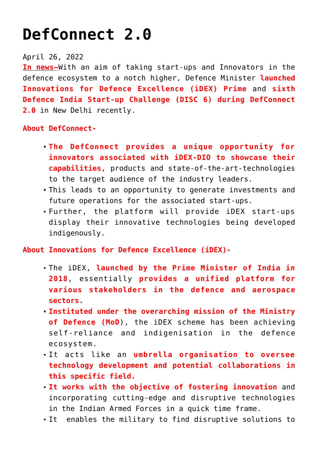## **[DefConnect 2.0](https://journalsofindia.com/defconnect-2-0/)**

## April 26, 2022

**In news–**With an aim of taking start-ups and Innovators in the defence ecosystem to a notch higher, Defence Minister **launched Innovations for Defence Excellence (iDEX) Prime** and **sixth Defence India Start-up Challenge (DISC 6) during DefConnect 2.0** in New Delhi recently.

## **About DefConnect-**

- **The DefConnect provides a unique opportunity for innovators associated with iDEX-DIO to showcase their capabilities,** products and state-of-the-art-technologies to the target audience of the industry leaders.
- This leads to an opportunity to generate investments and future operations for the associated start-ups.
- Further, the platform will provide iDEX start-ups display their innovative technologies being developed indigenously.

**About Innovations for Defence Excellence (iDEX)-**

- The iDEX, **launched by the Prime Minister of India in 2018**, essentially **provides a unified platform for various stakeholders in the defence and aerospace sectors.**
- **Instituted under the overarching mission of the Ministry of Defence (MoD**), the iDEX scheme has been achieving self-reliance and indigenisation in the defence ecosystem.
- It acts like an **umbrella organisation to oversee technology development and potential collaborations in this specific field.**
- **It works with the objective of fostering innovation** and incorporating cutting-edge and disruptive technologies in the Indian Armed Forces in a quick time frame.
- It enables the military to find disruptive solutions to